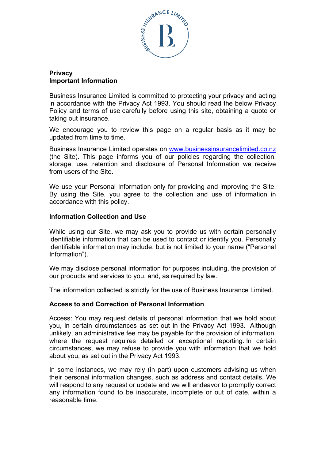

# **Privacy Important Information**

Business Insurance Limited is committed to protecting your privacy and acting in accordance with the Privacy Act 1993. You should read the below Privacy Policy and terms of use carefully before using this site, obtaining a quote or taking out insurance.

We encourage you to review this page on a regular basis as it may be updated from time to time.

Business Insurance Limited operates on [www.businessinsurancelimited.co.nz](http://www.businessinsurancelimited.co.nz)  (the Site). This page informs you of our policies regarding the collection, storage, use, retention and disclosure of Personal Information we receive from users of the Site.

We use your Personal Information only for providing and improving the Site. By using the Site, you agree to the collection and use of information in accordance with this policy.

## **Information Collection and Use**

While using our Site, we may ask you to provide us with certain personally identifiable information that can be used to contact or identify you. Personally identifiable information may include, but is not limited to your name ("Personal Information").

We may disclose personal information for purposes including, the provision of our products and services to you, and, as required by law.

The information collected is strictly for the use of Business Insurance Limited.

## **Access to and Correction of Personal Information**

Access: You may request details of personal information that we hold about you, in certain circumstances as set out in the Privacy Act 1993. Although unlikely, an administrative fee may be payable for the provision of information, where the request requires detailed or exceptional reporting. In certain circumstances, we may refuse to provide you with information that we hold about you, as set out in the Privacy Act 1993.

In some instances, we may rely (in part) upon customers advising us when their personal information changes, such as address and contact details. We will respond to any request or update and we will endeavor to promptly correct any information found to be inaccurate, incomplete or out of date, within a reasonable time.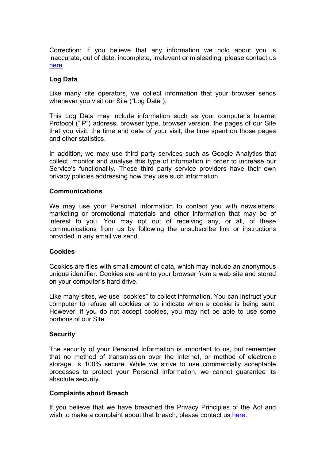Correction: If you believe that any information we hold about you is inaccurate, out of date, incomplete, irrelevant or misleading, please contact us [here.](mailto:reilly@businessinsurancelimited.co.nz)

# **Log Data**

Like many site operators, we collect information that your browser sends whenever you visit our Site ("Log Date").

This Log Data may include information such as your computer's Internet Protocol ("IP") address, browser type, browser version, the pages of our Site that you visit, the time and date of your visit, the time spent on those pages and other statistics.

In addition, we may use third party services such as Google Analytics that collect, monitor and analyse this type of information in order to increase our Service's functionality. These third party service providers have their own privacy policies addressing how they use such information.

## **Communications**

We may use your Personal Information to contact you with newsletters, marketing or promotional materials and other information that may be of interest to you. You may opt out of receiving any, or all, of these communications from us by following the unsubscribe link or instructions provided in any email we send.

### **Cookies**

Cookies are files with small amount of data, which may include an anonymous unique identifier. Cookies are sent to your browser from a web site and stored on your computer's hard drive.

Like many sites, we use "cookies" to collect information. You can instruct your computer to refuse all cookies or to indicate when a cookie is being sent. However, if you do not accept cookies, you may not be able to use some portions of our Site.

## **Security**

The security of your Personal Information is important to us, but remember that no method of transmission over the Internet, or method of electronic storage, is 100% secure. While we strive to use commercially acceptable processes to protect your Personal Information, we cannot guarantee its absolute security.

## **Complaints about Breach**

If you believe that we have breached the Privacy Principles of the Act and wish to make a complaint about that breach, please contact us [here.](mailto:reilly@businessinsurancelimited.co.nz)